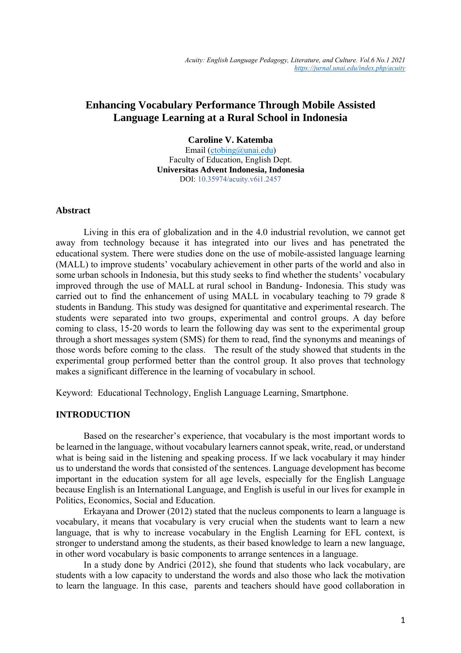### **Enhancing Vocabulary Performance Through Mobile Assisted Language Learning at a Rural School in Indonesia**

**Caroline V. Katemba** 

Email [\(ctobing@unai.edu\)](mailto:ctobing@unai.edu) Faculty of Education, English Dept. **Universitas Advent Indonesia, Indonesia** DOI: 10.35974/acuity.v6i1.2457

#### **Abstract**

Living in this era of globalization and in the 4.0 industrial revolution, we cannot get away from technology because it has integrated into our lives and has penetrated the educational system. There were studies done on the use of mobile-assisted language learning (MALL) to improve students' vocabulary achievement in other parts of the world and also in some urban schools in Indonesia, but this study seeks to find whether the students' vocabulary improved through the use of MALL at rural school in Bandung- Indonesia. This study was carried out to find the enhancement of using MALL in vocabulary teaching to 79 grade 8 students in Bandung. This study was designed for quantitative and experimental research. The students were separated into two groups, experimental and control groups. A day before coming to class, 15-20 words to learn the following day was sent to the experimental group through a short messages system (SMS) for them to read, find the synonyms and meanings of those words before coming to the class. The result of the study showed that students in the experimental group performed better than the control group. It also proves that technology makes a significant difference in the learning of vocabulary in school.

Keyword: Educational Technology, English Language Learning, Smartphone.

### **INTRODUCTION**

Based on the researcher's experience, that vocabulary is the most important words to be learned in the language, without vocabulary learners cannot speak, write, read, or understand what is being said in the listening and speaking process. If we lack vocabulary it may hinder us to understand the words that consisted of the sentences. Language development has become important in the education system for all age levels, especially for the English Language because English is an International Language, and English is useful in our lives for example in Politics, Economics, Social and Education.

Erkayana and Drower (2012) stated that the nucleus components to learn a language is vocabulary, it means that vocabulary is very crucial when the students want to learn a new language, that is why to increase vocabulary in the English Learning for EFL context, is stronger to understand among the students, as their based knowledge to learn a new language, in other word vocabulary is basic components to arrange sentences in a language.

In a study done by Andrici (2012), she found that students who lack vocabulary, are students with a low capacity to understand the words and also those who lack the motivation to learn the language. In this case, parents and teachers should have good collaboration in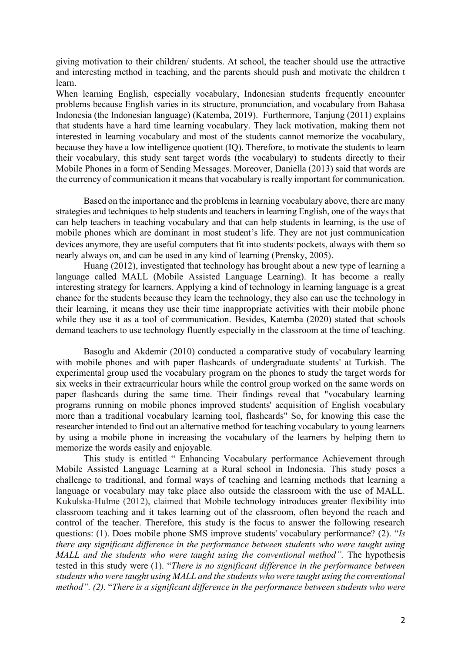giving motivation to their children/ students. At school, the teacher should use the attractive and interesting method in teaching, and the parents should push and motivate the children t learn.

When learning English, especially vocabulary, Indonesian students frequently encounter problems because English varies in its structure, pronunciation, and vocabulary from Bahasa Indonesia (the Indonesian language) (Katemba, 2019). Furthermore, Tanjung (2011) explains that students have a hard time learning vocabulary. They lack motivation, making them not interested in learning vocabulary and most of the students cannot memorize the vocabulary, because they have a low intelligence quotient (IQ). Therefore, to motivate the students to learn their vocabulary, this study sent target words (the vocabulary) to students directly to their Mobile Phones in a form of Sending Messages. Moreover, Daniella (2013) said that words are the currency of communication it means that vocabulary is really important for communication.

Based on the importance and the problems in learning vocabulary above, there are many strategies and techniques to help students and teachers in learning English, one of the ways that can help teachers in teaching vocabulary and that can help students in learning, is the use of mobile phones which are dominant in most student's life. They are not just communication devices anymore, they are useful computers that fit into students pockets, always with them so nearly always on, and can be used in any kind of learning (Prensky, 2005).

Huang (2012), investigated that technology has brought about a new type of learning a language called MALL (Mobile Assisted Language Learning). It has become a really interesting strategy for learners. Applying a kind of technology in learning language is a great chance for the students because they learn the technology, they also can use the technology in their learning, it means they use their time inappropriate activities with their mobile phone while they use it as a tool of communication. Besides, Katemba (2020) stated that schools demand teachers to use technology fluently especially in the classroom at the time of teaching.

Basoglu and Akdemir (2010) conducted a comparative study of vocabulary learning with mobile phones and with paper flashcards of undergraduate students' at Turkish. The experimental group used the vocabulary program on the phones to study the target words for six weeks in their extracurricular hours while the control group worked on the same words on paper flashcards during the same time. Their findings reveal that "vocabulary learning programs running on mobile phones improved students' acquisition of English vocabulary more than a traditional vocabulary learning tool, flashcards" So, for knowing this case the researcher intended to find out an alternative method for teaching vocabulary to young learners by using a mobile phone in increasing the vocabulary of the learners by helping them to memorize the words easily and enjoyable.

This study is entitled " Enhancing Vocabulary performance Achievement through Mobile Assisted Language Learning at a Rural school in Indonesia. This study poses a challenge to traditional, and formal ways of teaching and learning methods that learning a language or vocabulary may take place also outside the classroom with the use of MALL. Kukulska‐Hulme (2012), claimed that Mobile technology introduces greater flexibility into classroom teaching and it takes learning out of the classroom, often beyond the reach and control of the teacher. Therefore, this study is the focus to answer the following research questions: (1). Does mobile phone SMS improve students' vocabulary performance? (2). "*Is there any significant difference in the performance between students who were taught using MALL and the students who were taught using the conventional method".* The hypothesis tested in this study were (1). "*There is no significant difference in the performance between students who were taught using MALL and the students who were taught using the conventional method". (2).* "*There is a significant difference in the performance between students who were*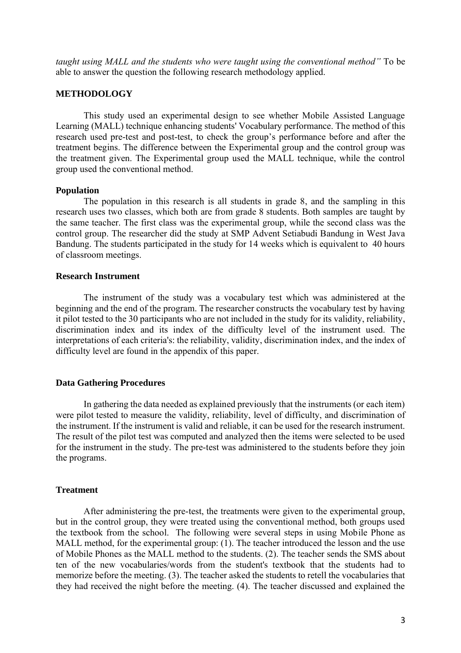*taught using MALL and the students who were taught using the conventional method"* To be able to answer the question the following research methodology applied.

#### **METHODOLOGY**

This study used an experimental design to see whether Mobile Assisted Language Learning (MALL) technique enhancing students' Vocabulary performance. The method of this research used pre-test and post-test, to check the group's performance before and after the treatment begins. The difference between the Experimental group and the control group was the treatment given. The Experimental group used the MALL technique, while the control group used the conventional method.

#### **Population**

The population in this research is all students in grade 8, and the sampling in this research uses two classes, which both are from grade 8 students. Both samples are taught by the same teacher. The first class was the experimental group, while the second class was the control group. The researcher did the study at SMP Advent Setiabudi Bandung in West Java Bandung. The students participated in the study for 14 weeks which is equivalent to 40 hours of classroom meetings.

#### **Research Instrument**

The instrument of the study was a vocabulary test which was administered at the beginning and the end of the program. The researcher constructs the vocabulary test by having it pilot tested to the 30 participants who are not included in the study for its validity, reliability, discrimination index and its index of the difficulty level of the instrument used. The interpretations of each criteria's: the reliability, validity, discrimination index, and the index of difficulty level are found in the appendix of this paper.

#### **Data Gathering Procedures**

In gathering the data needed as explained previously that the instruments (or each item) were pilot tested to measure the validity, reliability, level of difficulty, and discrimination of the instrument. If the instrument is valid and reliable, it can be used for the research instrument. The result of the pilot test was computed and analyzed then the items were selected to be used for the instrument in the study. The pre-test was administered to the students before they join the programs.

#### **Treatment**

After administering the pre-test, the treatments were given to the experimental group, but in the control group, they were treated using the conventional method, both groups used the textbook from the school. The following were several steps in using Mobile Phone as MALL method, for the experimental group: (1). The teacher introduced the lesson and the use of Mobile Phones as the MALL method to the students. (2). The teacher sends the SMS about ten of the new vocabularies/words from the student's textbook that the students had to memorize before the meeting. (3). The teacher asked the students to retell the vocabularies that they had received the night before the meeting. (4). The teacher discussed and explained the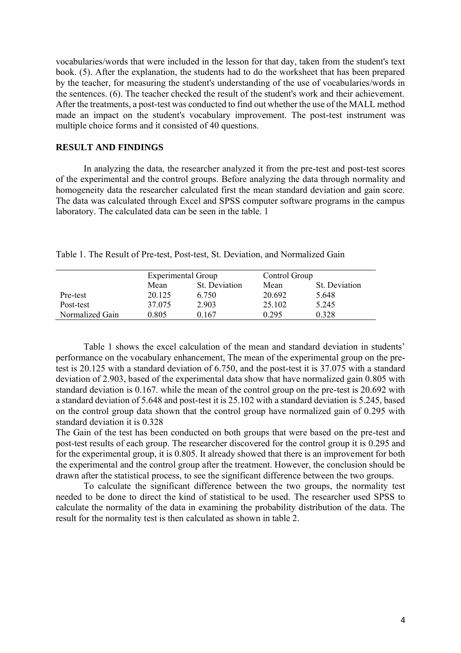vocabularies/words that were included in the lesson for that day, taken from the student's text book. (5). After the explanation, the students had to do the worksheet that has been prepared by the teacher, for measuring the student's understanding of the use of vocabularies/words in the sentences. (6). The teacher checked the result of the student's work and their achievement. After the treatments, a post-test was conducted to find out whether the use of the MALL method made an impact on the student's vocabulary improvement. The post-test instrument was multiple choice forms and it consisted of 40 questions.

#### **RESULT AND FINDINGS**

In analyzing the data, the researcher analyzed it from the pre-test and post-test scores of the experimental and the control groups. Before analyzing the data through normality and homogeneity data the researcher calculated first the mean standard deviation and gain score. The data was calculated through Excel and SPSS computer software programs in the campus laboratory. The calculated data can be seen in the table. 1

|                 | <b>Experimental Group</b> |               | Control Group |               |
|-----------------|---------------------------|---------------|---------------|---------------|
|                 | Mean                      | St. Deviation | Mean          | St. Deviation |
| Pre-test        | 20.125                    | 6.750         | 20.692        | 5.648         |
| Post-test       | 37.075                    | 2.903         | 25.102        | 5.245         |
| Normalized Gain | 0.805                     | 0.167         | 0.295         | 0.328         |

Table 1. The Result of Pre-test, Post-test, St. Deviation, and Normalized Gain

Table 1 shows the excel calculation of the mean and standard deviation in students' performance on the vocabulary enhancement, The mean of the experimental group on the pretest is 20.125 with a standard deviation of 6.750, and the post-test it is 37.075 with a standard deviation of 2.903, based of the experimental data show that have normalized gain 0.805 with standard deviation is 0.167. while the mean of the control group on the pre-test is 20.692 with a standard deviation of 5.648 and post-test it is 25.102 with a standard deviation is 5.245, based on the control group data shown that the control group have normalized gain of 0.295 with standard deviation it is 0.328

The Gain of the test has been conducted on both groups that were based on the pre-test and post-test results of each group. The researcher discovered for the control group it is 0.295 and for the experimental group, it is 0.805. It already showed that there is an improvement for both the experimental and the control group after the treatment. However, the conclusion should be drawn after the statistical process, to see the significant difference between the two groups.

To calculate the significant difference between the two groups, the normality test needed to be done to direct the kind of statistical to be used. The researcher used SPSS to calculate the normality of the data in examining the probability distribution of the data. The result for the normality test is then calculated as shown in table 2.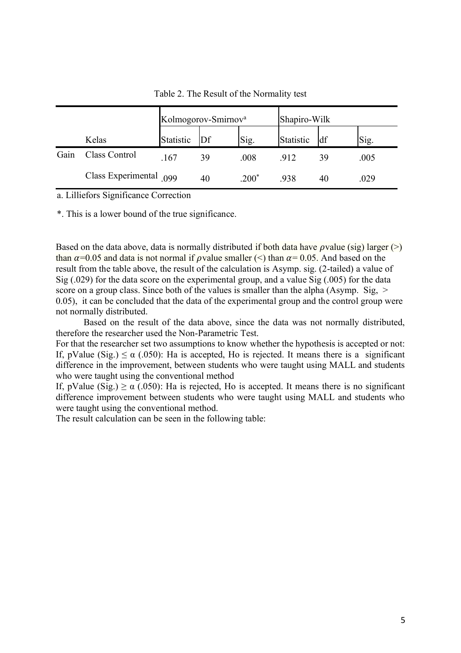|      |                             | Kolmogorov-Smirnov <sup>a</sup> |    |         | Shapiro-Wilk |    |      |
|------|-----------------------------|---------------------------------|----|---------|--------------|----|------|
|      | Kelas                       | Statistic                       | Df | Sig.    | Statistic    | df | Sig. |
| Gain | Class Control               | .167                            | 39 | .008    | 912          | 39 | .005 |
|      | Class Experimental $_{099}$ |                                 | 40 | $200^*$ | 938          | 40 | .029 |

Table 2. The Result of the Normality test

a. Lilliefors Significance Correction

\*. This is a lower bound of the true significance.

Based on the data above, data is normally distributed if both data have  $\rho$  value (sig) larger (>) than  $\alpha$ =0.05 and data is not normal if *p* value smaller (<) than  $\alpha$ =0.05. And based on the result from the table above, the result of the calculation is Asymp. sig. (2-tailed) a value of Sig (.029) for the data score on the experimental group, and a value Sig (.005) for the data score on a group class. Since both of the values is smaller than the alpha (Asymp. Sig,  $>$ 0.05), it can be concluded that the data of the experimental group and the control group were not normally distributed.

Based on the result of the data above, since the data was not normally distributed, therefore the researcher used the Non-Parametric Test.

For that the researcher set two assumptions to know whether the hypothesis is accepted or not: If, pValue (Sig.)  $\leq \alpha$  (.050): Ha is accepted, Ho is rejected. It means there is a significant difference in the improvement, between students who were taught using MALL and students who were taught using the conventional method

If, pValue (Sig.)  $\ge \alpha$  (.050): Ha is rejected, Ho is accepted. It means there is no significant difference improvement between students who were taught using MALL and students who were taught using the conventional method.

The result calculation can be seen in the following table: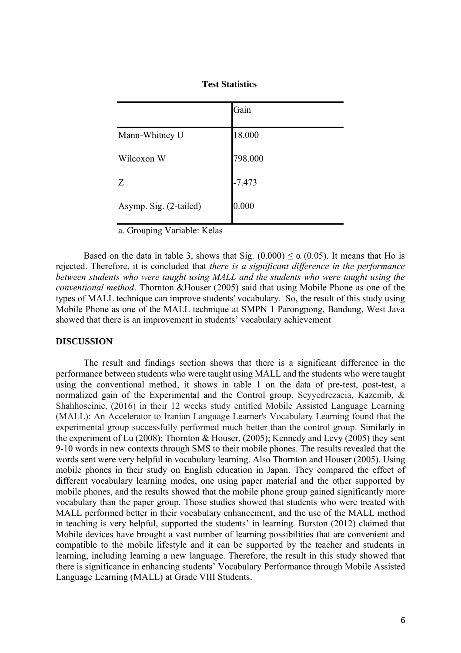|                        | Gain     |
|------------------------|----------|
| Mann-Whitney U         | 18.000   |
| Wilcoxon W             | 798.000  |
| Z                      | $-7.473$ |
| Asymp. Sig. (2-tailed) | 0.000    |

a. Grouping Variable: Kelas

Based on the data in table 3, shows that Sig.  $(0.000) \le \alpha (0.05)$ . It means that Ho is rejected. Therefore, it is concluded that *there is a significant difference in the performance between students who were taught using MALL and the students who were taught using the conventional method*. Thornton &Houser (2005) said that using Mobile Phone as one of the types of MALL technique can improve students' vocabulary. So, the result of this study using Mobile Phone as one of the MALL technique at SMPN 1 Parongpong, Bandung, West Java showed that there is an improvement in students' vocabulary achievement

#### **DISCUSSION**

The result and findings section shows that there is a significant difference in the performance between students who were taught using MALL and the students who were taught using the conventional method, it shows in table 1 on the data of pre-test, post-test, a normalized gain of the Experimental and the Control group. Seyyedrezaeia, Kazemib, & Shahhoseinic, (2016) in their 12 weeks study entitled Mobile Assisted Language Learning (MALL): An Accelerator to Iranian Language Learner's Vocabulary Learning found that the experimental group successfully performed much better than the control group. Similarly in the experiment of Lu (2008); Thornton & Houser, (2005); Kennedy and Levy (2005) they sent 9-10 words in new contexts through SMS to their mobile phones. The results revealed that the words sent were very helpful in vocabulary learning. Also Thornton and Houser (2005). Using mobile phones in their study on English education in Japan. They compared the effect of different vocabulary learning modes, one using paper material and the other supported by mobile phones, and the results showed that the mobile phone group gained significantly more vocabulary than the paper group. Those studies showed that students who were treated with MALL performed better in their vocabulary enhancement, and the use of the MALL method in teaching is very helpful, supported the students' in learning. Burston (2012) claimed that Mobile devices have brought a vast number of learning possibilities that are convenient and compatible to the mobile lifestyle and it can be supported by the teacher and students in learning, including learning a new language. Therefore, the result in this study showed that there is significance in enhancing students' Vocabulary Performance through Mobile Assisted Language Learning (MALL) at Grade VIII Students.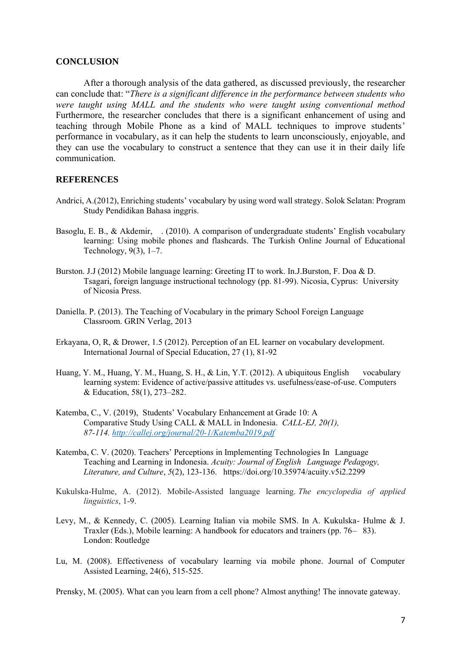#### **CONCLUSION**

After a thorough analysis of the data gathered, as discussed previously, the researcher can conclude that: "*There is a significant difference in the performance between students who were taught using MALL and the students who were taught using conventional method* Furthermore, the researcher concludes that there is a significant enhancement of using and teaching through Mobile Phone as a kind of MALL techniques to improve students' performance in vocabulary, as it can help the students to learn unconsciously, enjoyable, and they can use the vocabulary to construct a sentence that they can use it in their daily life communication.

#### **REFERENCES**

- Andrici, A.(2012), Enriching students' vocabulary by using word wall strategy. Solok Selatan: Program Study Pendidikan Bahasa inggris.
- Basoglu, E. B., & Akdemir, . (2010). A comparison of undergraduate students' English vocabulary learning: Using mobile phones and flashcards. The Turkish Online Journal of Educational Technology, 9(3), 1–7.
- Burston. J.J (2012) Mobile language learning: Greeting IT to work. In.J.Burston, F. Doa & D. Tsagari, foreign language instructional technology (pp. 81-99). Nicosia, Cyprus: University of Nicosia Press.
- Daniella. P. (2013). The Teaching of Vocabulary in the primary School Foreign Language Classroom. GRIN Verlag, 2013
- Erkayana, O, R, & Drower, 1.5 (2012). Perception of an EL learner on vocabulary development. International Journal of Special Education, 27 (1), 81-92
- Huang, Y. M., Huang, Y. M., Huang, S. H., & Lin, Y.T. (2012). A ubiquitous English vocabulary learning system: Evidence of active/passive attitudes vs. usefulness/ease-of-use. Computers & Education, 58(1), 273–282.
- Katemba, C., V. (2019), Students' Vocabulary Enhancement at Grade 10: A Comparative Study Using CALL & MALL in Indonesia. *CALL-EJ, 20(1), 87-114[. http://callej.org/journal/20-1/Katemba2019.pdf](http://callej.org/journal/20-1/Katemba2019.pdf)*
- Katemba, C. V. (2020). Teachers' Perceptions in Implementing Technologies In Language Teaching and Learning in Indonesia. *Acuity: Journal of English Language Pedagogy, Literature, and Culture*, *5*(2), 123-136. https://doi.org/10.35974/acuity.v5i2.2299
- Kukulska‐Hulme, A. (2012). Mobile‐Assisted language learning. *The encyclopedia of applied linguistics*, 1-9.
- Levy, M., & Kennedy, C. (2005). Learning Italian via mobile SMS. In A. Kukulska- Hulme & J. Traxler (Eds.), Mobile learning: A handbook for educators and trainers (pp. 76– 83). London: Routledge
- Lu, M. (2008). Effectiveness of vocabulary learning via mobile phone. Journal of Computer Assisted Learning, 24(6), 515-525.

Prensky, M. (2005). What can you learn from a cell phone? Almost anything! The innovate gateway.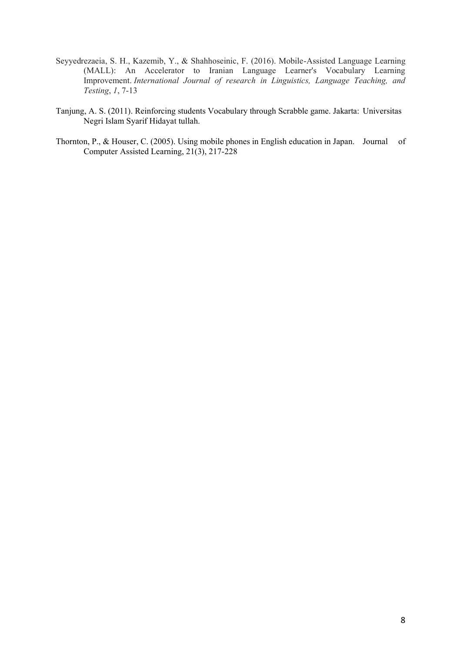- Seyyedrezaeia, S. H., Kazemib, Y., & Shahhoseinic, F. (2016). Mobile-Assisted Language Learning (MALL): An Accelerator to Iranian Language Learner's Vocabulary Learning Improvement. *International Journal of research in Linguistics, Language Teaching, and Testing*, *1*, 7-13
- Tanjung, A. S. (2011). Reinforcing students Vocabulary through Scrabble game. Jakarta: Universitas Negri Islam Syarif Hidayat tullah.
- Thornton, P., & Houser, C. (2005). Using mobile phones in English education in Japan. Journal of Computer Assisted Learning, 21(3), 217-228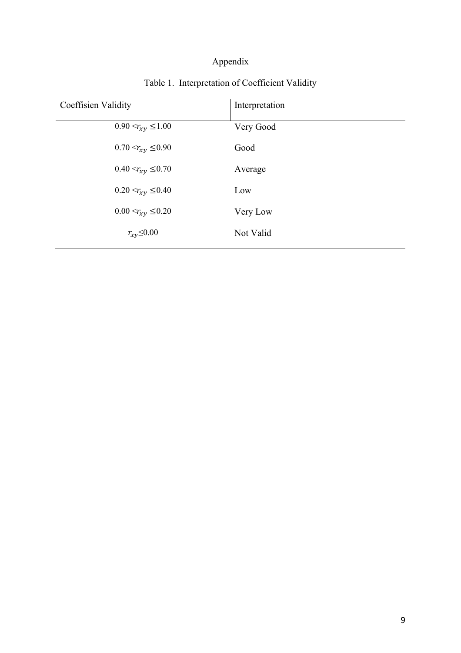# Appendix

| Coeffisien Validity        | Interpretation |
|----------------------------|----------------|
| $0.90 < r_{xy} \leq 1.00$  | Very Good      |
| $0.70 < r_{xy} \leq 0.90$  | Good           |
| $0.40 < r_{xy} \leq 0.70$  | Average        |
| $0.20 < r_{xy} \leq 0.40$  | Low            |
| $0.00 < r_{xy} \leq 0.20$  | Very Low       |
| $r_{\chi\gamma} \leq 0.00$ | Not Valid      |

# Table 1. Interpretation of Coefficient Validity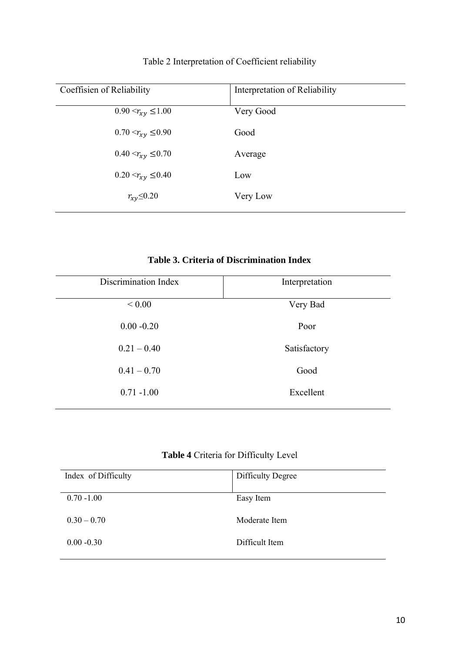| Coeffisien of Reliability | Interpretation of Reliability |
|---------------------------|-------------------------------|
| $0.90 < r_{xy} \leq 1.00$ | Very Good                     |
| $0.70 < r_{xy} \leq 0.90$ | Good                          |
| $0.40 < r_{xy} \leq 0.70$ | Average                       |
| $0.20 < r_{xy} \leq 0.40$ | Low                           |
| $r_{xy} \leq 0.20$        | Very Low                      |

## Table 2 Interpretation of Coefficient reliability

**Table 3. Criteria of Discrimination Index** 

| Discrimination Index | Interpretation |
|----------------------|----------------|
| ${}_{0.005}$         | Very Bad       |
| $0.00 - 0.20$        | Poor           |
| $0.21 - 0.40$        | Satisfactory   |
| $0.41 - 0.70$        | Good           |
| $0.71 - 1.00$        | Excellent      |
|                      |                |

### **Table 4** Criteria for Difficulty Level

| Index of Difficulty | Difficulty Degree |
|---------------------|-------------------|
| $0.70 - 1.00$       | Easy Item         |
| $0.30 - 0.70$       | Moderate Item     |
| $0.00 - 0.30$       | Difficult Item    |
|                     |                   |